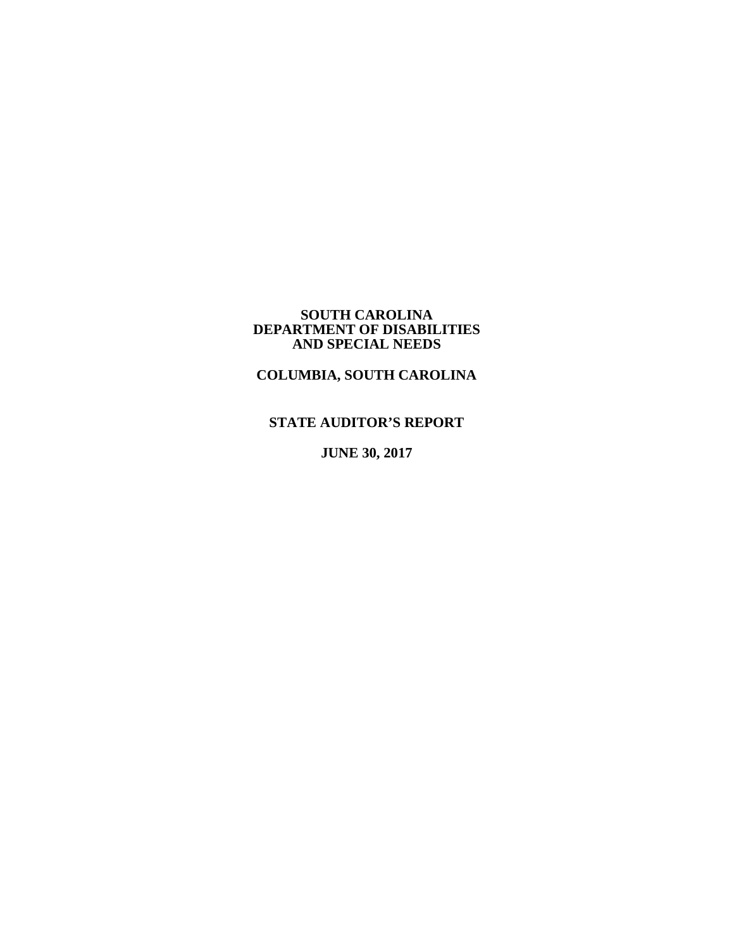#### **SOUTH CAROLINA DEPARTMENT OF DISABILITIES AND SPECIAL NEEDS**

# **COLUMBIA, SOUTH CAROLINA**

# **STATE AUDITOR'S REPORT**

**JUNE 30, 2017**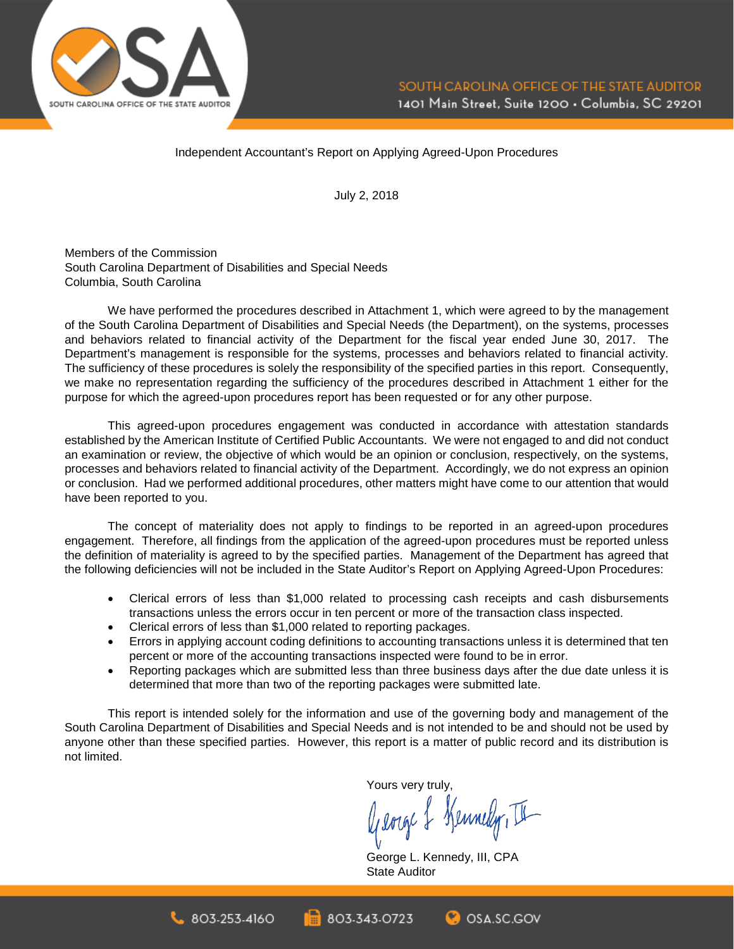

Independent Accountant's Report on Applying Agreed-Upon Procedures

July 2, 2018

Members of the Commission South Carolina Department of Disabilities and Special Needs Columbia, South Carolina

We have performed the procedures described in Attachment 1, which were agreed to by the management of the South Carolina Department of Disabilities and Special Needs (the Department), on the systems, processes and behaviors related to financial activity of the Department for the fiscal year ended June 30, 2017. The Department's management is responsible for the systems, processes and behaviors related to financial activity. The sufficiency of these procedures is solely the responsibility of the specified parties in this report. Consequently, we make no representation regarding the sufficiency of the procedures described in Attachment 1 either for the purpose for which the agreed-upon procedures report has been requested or for any other purpose.

This agreed-upon procedures engagement was conducted in accordance with attestation standards established by the American Institute of Certified Public Accountants. We were not engaged to and did not conduct an examination or review, the objective of which would be an opinion or conclusion, respectively, on the systems, processes and behaviors related to financial activity of the Department. Accordingly, we do not express an opinion or conclusion. Had we performed additional procedures, other matters might have come to our attention that would have been reported to you.

The concept of materiality does not apply to findings to be reported in an agreed-upon procedures engagement. Therefore, all findings from the application of the agreed-upon procedures must be reported unless the definition of materiality is agreed to by the specified parties. Management of the Department has agreed that the following deficiencies will not be included in the State Auditor's Report on Applying Agreed-Upon Procedures:

- Clerical errors of less than \$1,000 related to processing cash receipts and cash disbursements transactions unless the errors occur in ten percent or more of the transaction class inspected.
- Clerical errors of less than \$1,000 related to reporting packages.
- Errors in applying account coding definitions to accounting transactions unless it is determined that ten percent or more of the accounting transactions inspected were found to be in error.
- Reporting packages which are submitted less than three business days after the due date unless it is determined that more than two of the reporting packages were submitted late.

This report is intended solely for the information and use of the governing body and management of the South Carolina Department of Disabilities and Special Needs and is not intended to be and should not be used by anyone other than these specified parties. However, this report is a matter of public record and its distribution is not limited.

Yours very truly,

George & Kennedy, II

**C**OSA SC.GOV

George L. Kennedy, III, CPA State Auditor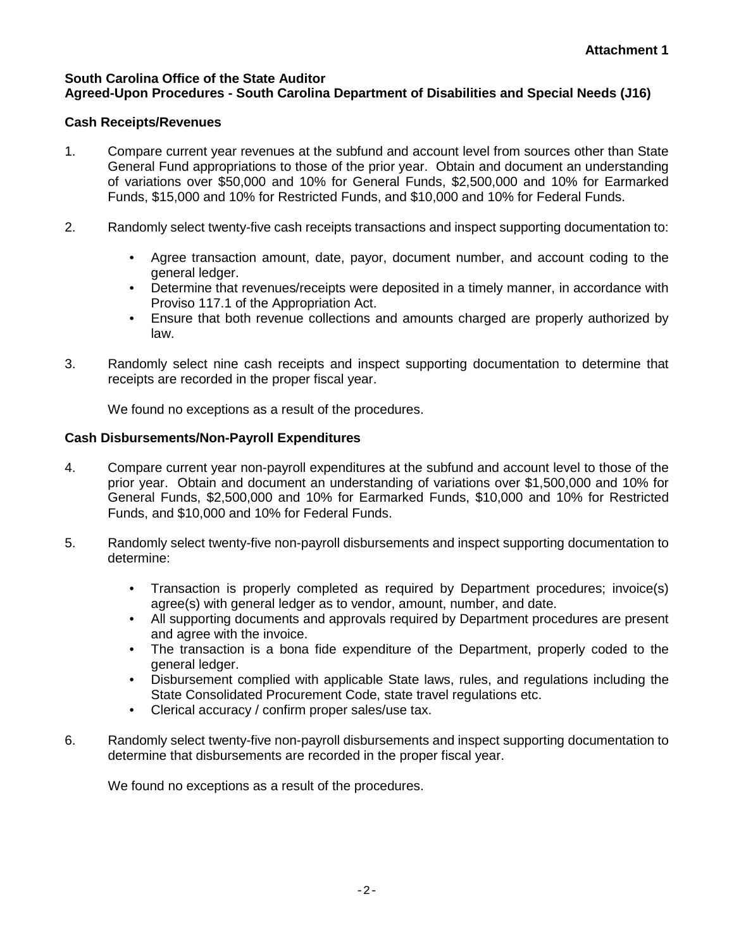## **South Carolina Office of the State Auditor Agreed-Upon Procedures - South Carolina Department of Disabilities and Special Needs (J16)**

# **Cash Receipts/Revenues**

- 1. Compare current year revenues at the subfund and account level from sources other than State General Fund appropriations to those of the prior year. Obtain and document an understanding of variations over \$50,000 and 10% for General Funds, \$2,500,000 and 10% for Earmarked Funds, \$15,000 and 10% for Restricted Funds, and \$10,000 and 10% for Federal Funds.
- 2. Randomly select twenty-five cash receipts transactions and inspect supporting documentation to:
	- Agree transaction amount, date, payor, document number, and account coding to the general ledger.
	- Determine that revenues/receipts were deposited in a timely manner, in accordance with Proviso 117.1 of the Appropriation Act.
	- Ensure that both revenue collections and amounts charged are properly authorized by law.
- 3. Randomly select nine cash receipts and inspect supporting documentation to determine that receipts are recorded in the proper fiscal year.

We found no exceptions as a result of the procedures.

# **Cash Disbursements/Non-Payroll Expenditures**

- 4. Compare current year non-payroll expenditures at the subfund and account level to those of the prior year. Obtain and document an understanding of variations over \$1,500,000 and 10% for General Funds, \$2,500,000 and 10% for Earmarked Funds, \$10,000 and 10% for Restricted Funds, and \$10,000 and 10% for Federal Funds.
- 5. Randomly select twenty-five non-payroll disbursements and inspect supporting documentation to determine:
	- Transaction is properly completed as required by Department procedures; invoice(s) agree(s) with general ledger as to vendor, amount, number, and date.
	- All supporting documents and approvals required by Department procedures are present and agree with the invoice.
	- The transaction is a bona fide expenditure of the Department, properly coded to the general ledger.
	- Disbursement complied with applicable State laws, rules, and regulations including the State Consolidated Procurement Code, state travel regulations etc.
	- Clerical accuracy / confirm proper sales/use tax.
- 6. Randomly select twenty-five non-payroll disbursements and inspect supporting documentation to determine that disbursements are recorded in the proper fiscal year.

We found no exceptions as a result of the procedures.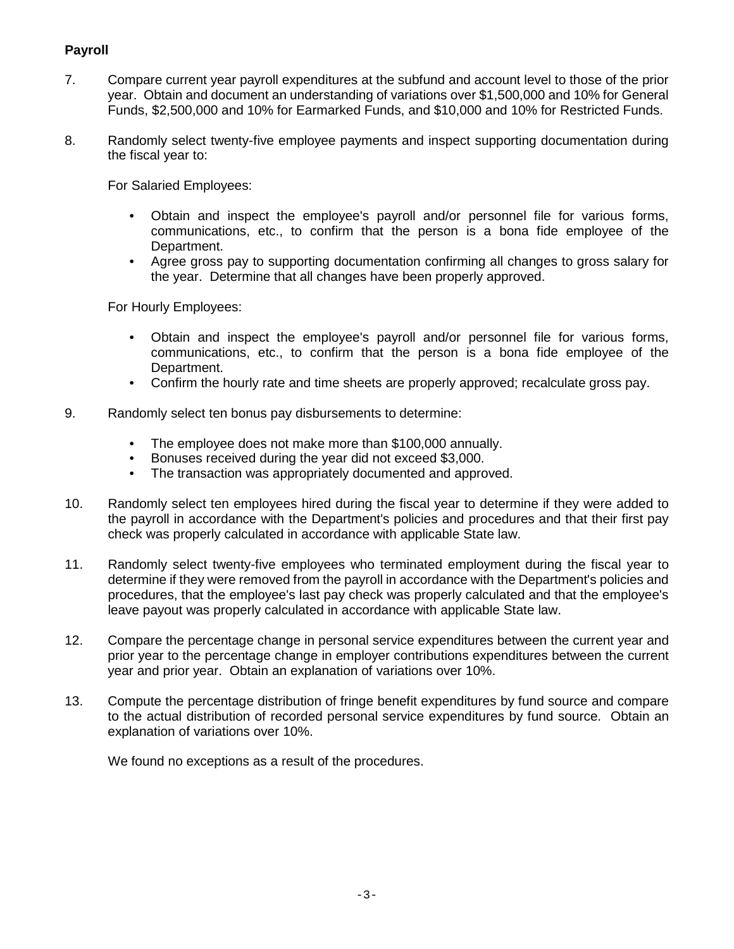# **Payroll**

- 7. Compare current year payroll expenditures at the subfund and account level to those of the prior year. Obtain and document an understanding of variations over \$1,500,000 and 10% for General Funds, \$2,500,000 and 10% for Earmarked Funds, and \$10,000 and 10% for Restricted Funds.
- 8. Randomly select twenty-five employee payments and inspect supporting documentation during the fiscal year to:

For Salaried Employees:

- Obtain and inspect the employee's payroll and/or personnel file for various forms, communications, etc., to confirm that the person is a bona fide employee of the Department.
- Agree gross pay to supporting documentation confirming all changes to gross salary for the year. Determine that all changes have been properly approved.

For Hourly Employees:

- Obtain and inspect the employee's payroll and/or personnel file for various forms, communications, etc., to confirm that the person is a bona fide employee of the Department.
- Confirm the hourly rate and time sheets are properly approved; recalculate gross pay.
- 9. Randomly select ten bonus pay disbursements to determine:
	- The employee does not make more than \$100,000 annually.
	- Bonuses received during the year did not exceed \$3,000.
	- The transaction was appropriately documented and approved.
- 10. Randomly select ten employees hired during the fiscal year to determine if they were added to the payroll in accordance with the Department's policies and procedures and that their first pay check was properly calculated in accordance with applicable State law.
- 11. Randomly select twenty-five employees who terminated employment during the fiscal year to determine if they were removed from the payroll in accordance with the Department's policies and procedures, that the employee's last pay check was properly calculated and that the employee's leave payout was properly calculated in accordance with applicable State law.
- 12. Compare the percentage change in personal service expenditures between the current year and prior year to the percentage change in employer contributions expenditures between the current year and prior year. Obtain an explanation of variations over 10%.
- 13. Compute the percentage distribution of fringe benefit expenditures by fund source and compare to the actual distribution of recorded personal service expenditures by fund source. Obtain an explanation of variations over 10%.

We found no exceptions as a result of the procedures.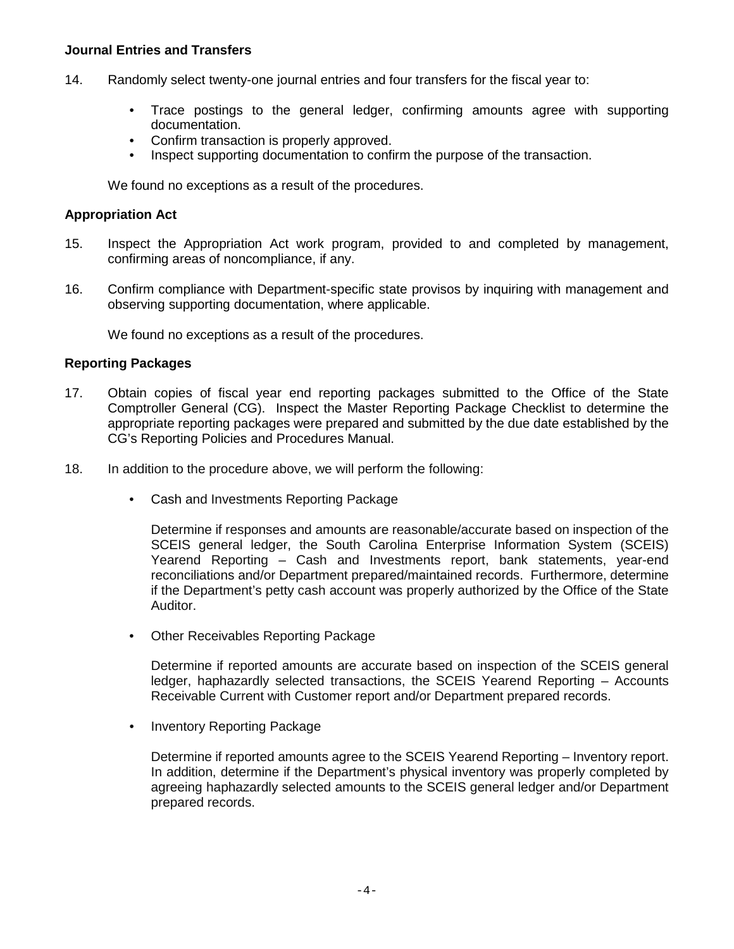### **Journal Entries and Transfers**

- 14. Randomly select twenty-one journal entries and four transfers for the fiscal year to:
	- Trace postings to the general ledger, confirming amounts agree with supporting documentation.
	- Confirm transaction is properly approved.
	- Inspect supporting documentation to confirm the purpose of the transaction.

We found no exceptions as a result of the procedures.

### **Appropriation Act**

- 15. Inspect the Appropriation Act work program, provided to and completed by management, confirming areas of noncompliance, if any.
- 16. Confirm compliance with Department-specific state provisos by inquiring with management and observing supporting documentation, where applicable.

We found no exceptions as a result of the procedures.

#### **Reporting Packages**

- 17. Obtain copies of fiscal year end reporting packages submitted to the Office of the State Comptroller General (CG). Inspect the Master Reporting Package Checklist to determine the appropriate reporting packages were prepared and submitted by the due date established by the CG's Reporting Policies and Procedures Manual.
- 18. In addition to the procedure above, we will perform the following:
	- Cash and Investments Reporting Package

Determine if responses and amounts are reasonable/accurate based on inspection of the SCEIS general ledger, the South Carolina Enterprise Information System (SCEIS) Yearend Reporting – Cash and Investments report, bank statements, year-end reconciliations and/or Department prepared/maintained records. Furthermore, determine if the Department's petty cash account was properly authorized by the Office of the State Auditor.

• Other Receivables Reporting Package

Determine if reported amounts are accurate based on inspection of the SCEIS general ledger, haphazardly selected transactions, the SCEIS Yearend Reporting – Accounts Receivable Current with Customer report and/or Department prepared records.

• Inventory Reporting Package

Determine if reported amounts agree to the SCEIS Yearend Reporting – Inventory report. In addition, determine if the Department's physical inventory was properly completed by agreeing haphazardly selected amounts to the SCEIS general ledger and/or Department prepared records.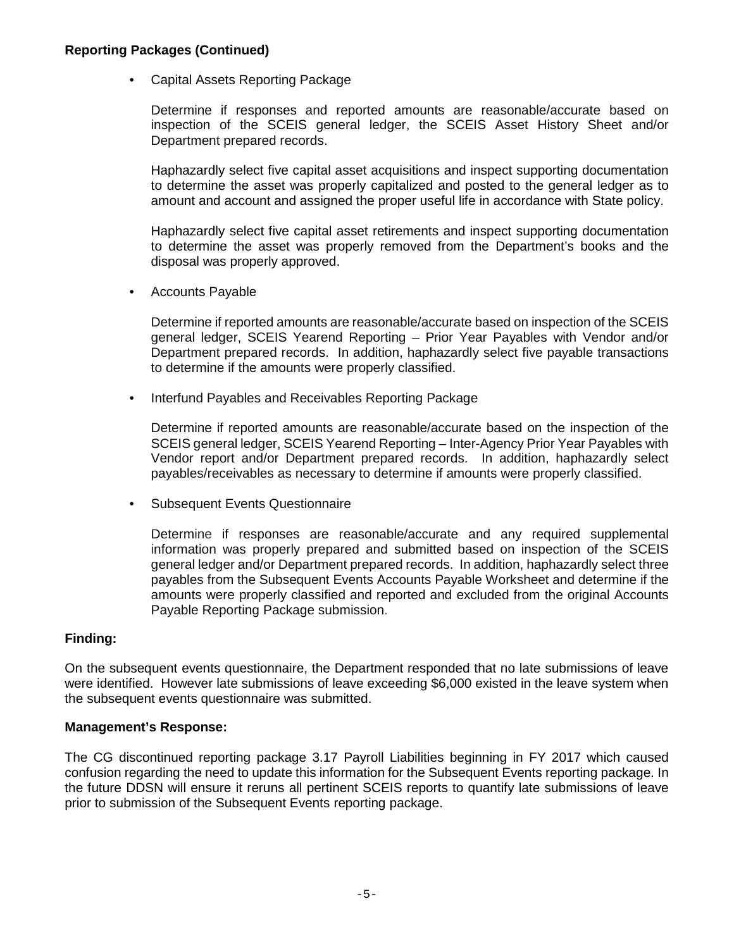## **Reporting Packages (Continued)**

• Capital Assets Reporting Package

Determine if responses and reported amounts are reasonable/accurate based on inspection of the SCEIS general ledger, the SCEIS Asset History Sheet and/or Department prepared records.

Haphazardly select five capital asset acquisitions and inspect supporting documentation to determine the asset was properly capitalized and posted to the general ledger as to amount and account and assigned the proper useful life in accordance with State policy.

Haphazardly select five capital asset retirements and inspect supporting documentation to determine the asset was properly removed from the Department's books and the disposal was properly approved.

• Accounts Payable

Determine if reported amounts are reasonable/accurate based on inspection of the SCEIS general ledger, SCEIS Yearend Reporting – Prior Year Payables with Vendor and/or Department prepared records. In addition, haphazardly select five payable transactions to determine if the amounts were properly classified.

• Interfund Payables and Receivables Reporting Package

Determine if reported amounts are reasonable/accurate based on the inspection of the SCEIS general ledger, SCEIS Yearend Reporting – Inter-Agency Prior Year Payables with Vendor report and/or Department prepared records. In addition, haphazardly select payables/receivables as necessary to determine if amounts were properly classified.

• Subsequent Events Questionnaire

Determine if responses are reasonable/accurate and any required supplemental information was properly prepared and submitted based on inspection of the SCEIS general ledger and/or Department prepared records. In addition, haphazardly select three payables from the Subsequent Events Accounts Payable Worksheet and determine if the amounts were properly classified and reported and excluded from the original Accounts Payable Reporting Package submission.

# **Finding:**

On the subsequent events questionnaire, the Department responded that no late submissions of leave were identified. However late submissions of leave exceeding \$6,000 existed in the leave system when the subsequent events questionnaire was submitted.

## **Management's Response:**

The CG discontinued reporting package 3.17 Payroll Liabilities beginning in FY 2017 which caused confusion regarding the need to update this information for the Subsequent Events reporting package. In the future DDSN will ensure it reruns all pertinent SCEIS reports to quantify late submissions of leave prior to submission of the Subsequent Events reporting package.